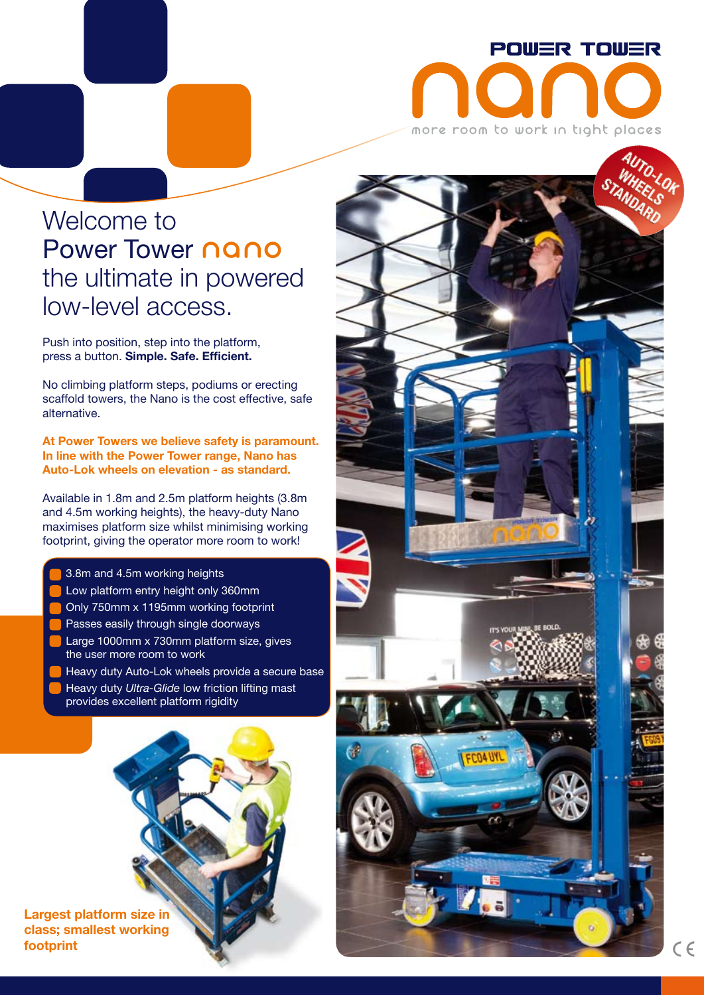

## Welcome to Power Tower **nano** the ultimate in powered low-level access.

Push into position, step into the platform, press a button. **Simple. Safe. Efficient.**

No climbing platform steps, podiums or erecting scaffold towers, the Nano is the cost effective, safe alternative.

**At Power Towers we believe safety is paramount. In line with the Power Tower range, Nano has Auto-Lok wheels on elevation - as standard.**

Available in 1.8m and 2.5m platform heights (3.8m and 4.5m working heights), the heavy-duty Nano maximises platform size whilst minimising working footprint, giving the operator more room to work!

- 3.8m and 4.5m working heights
- Low platform entry height only 360mm
- Only 750mm x 1195mm working footprint
- Passes easily through single doorways
- Large 1000mm x 730mm platform size, gives the user more room to work
- Heavy duty Auto-Lok wheels provide a secure base Heavy duty *Ultra-Glide* low friction lifting mast provides excellent platform rigidity

**Largest platform size in class; smallest working footprint**



战.